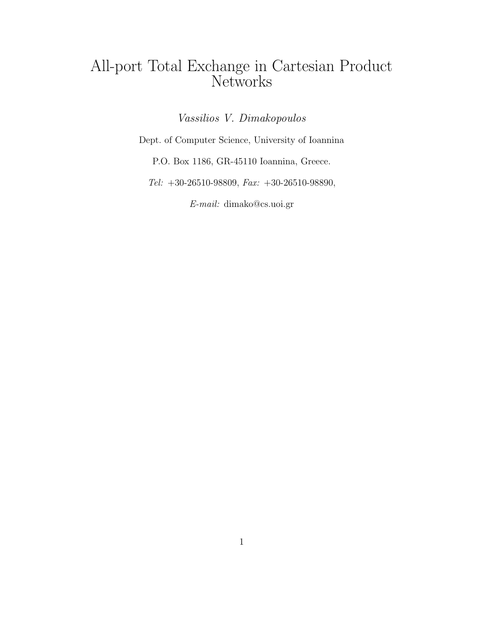# All-port Total Exchange in Cartesian Product Networks

Vassilios V. Dimakopoulos

Dept. of Computer Science, University of Ioannina

P.O. Box 1186, GR-45110 Ioannina, Greece.

Tel:  $+30-26510-98809$ ,  $Fax: +30-26510-98890$ ,

E-mail: dimako@cs.uoi.gr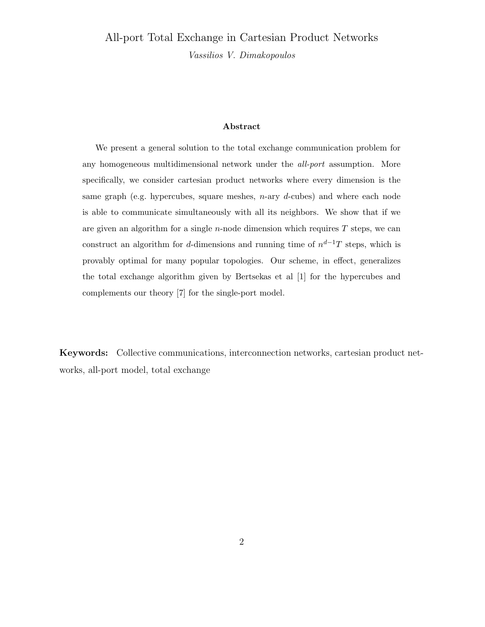# All-port Total Exchange in Cartesian Product Networks Vassilios V. Dimakopoulos

#### Abstract

We present a general solution to the total exchange communication problem for any homogeneous multidimensional network under the *all-port* assumption. More specifically, we consider cartesian product networks where every dimension is the same graph (e.g. hypercubes, square meshes,  $n$ -ary  $d$ -cubes) and where each node is able to communicate simultaneously with all its neighbors. We show that if we are given an algorithm for a single  $n$ -node dimension which requires  $T$  steps, we can construct an algorithm for d-dimensions and running time of  $n^{d-1}T$  steps, which is provably optimal for many popular topologies. Our scheme, in effect, generalizes the total exchange algorithm given by Bertsekas et al [1] for the hypercubes and complements our theory [7] for the single-port model.

Keywords: Collective communications, interconnection networks, cartesian product networks, all-port model, total exchange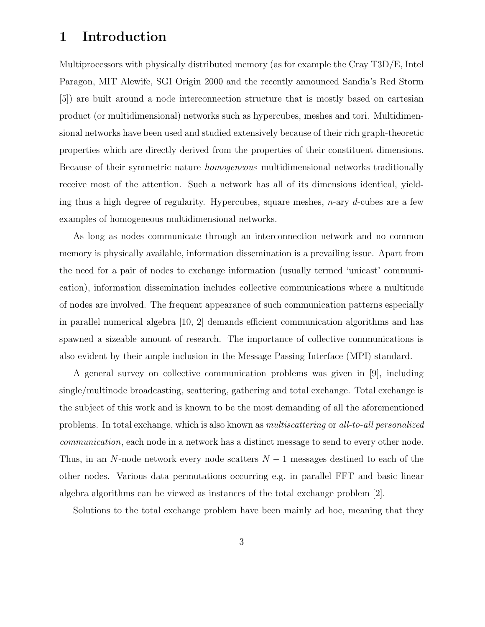### 1 Introduction

Multiprocessors with physically distributed memory (as for example the Cray T3D/E, Intel Paragon, MIT Alewife, SGI Origin 2000 and the recently announced Sandia's Red Storm [5]) are built around a node interconnection structure that is mostly based on cartesian product (or multidimensional) networks such as hypercubes, meshes and tori. Multidimensional networks have been used and studied extensively because of their rich graph-theoretic properties which are directly derived from the properties of their constituent dimensions. Because of their symmetric nature homogeneous multidimensional networks traditionally receive most of the attention. Such a network has all of its dimensions identical, yielding thus a high degree of regularity. Hypercubes, square meshes,  $n$ -ary  $d$ -cubes are a few examples of homogeneous multidimensional networks.

As long as nodes communicate through an interconnection network and no common memory is physically available, information dissemination is a prevailing issue. Apart from the need for a pair of nodes to exchange information (usually termed 'unicast' communication), information dissemination includes collective communications where a multitude of nodes are involved. The frequent appearance of such communication patterns especially in parallel numerical algebra [10, 2] demands efficient communication algorithms and has spawned a sizeable amount of research. The importance of collective communications is also evident by their ample inclusion in the Message Passing Interface (MPI) standard.

A general survey on collective communication problems was given in [9], including single/multinode broadcasting, scattering, gathering and total exchange. Total exchange is the subject of this work and is known to be the most demanding of all the aforementioned problems. In total exchange, which is also known as multiscattering or all-to-all personalized communication, each node in a network has a distinct message to send to every other node. Thus, in an N-node network every node scatters  $N-1$  messages destined to each of the other nodes. Various data permutations occurring e.g. in parallel FFT and basic linear algebra algorithms can be viewed as instances of the total exchange problem [2].

Solutions to the total exchange problem have been mainly ad hoc, meaning that they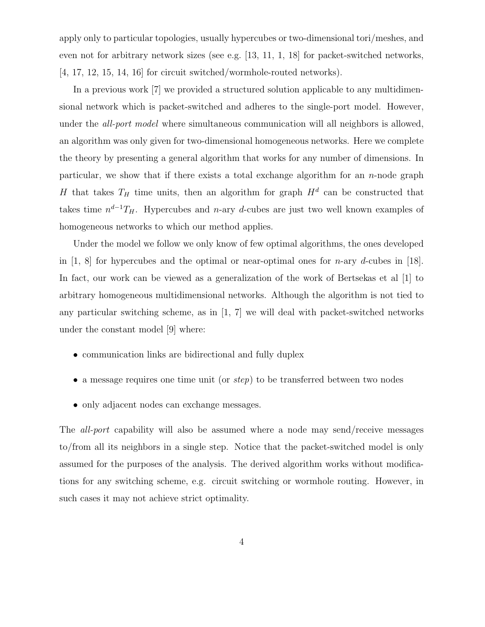apply only to particular topologies, usually hypercubes or two-dimensional tori/meshes, and even not for arbitrary network sizes (see e.g. [13, 11, 1, 18] for packet-switched networks, [4, 17, 12, 15, 14, 16] for circuit switched/wormhole-routed networks).

In a previous work [7] we provided a structured solution applicable to any multidimensional network which is packet-switched and adheres to the single-port model. However, under the *all-port model* where simultaneous communication will all neighbors is allowed, an algorithm was only given for two-dimensional homogeneous networks. Here we complete the theory by presenting a general algorithm that works for any number of dimensions. In particular, we show that if there exists a total exchange algorithm for an  $n$ -node graph H that takes  $T_H$  time units, then an algorithm for graph  $H^d$  can be constructed that takes time  $n^{d-1}T_H$ . Hypercubes and n-ary d-cubes are just two well known examples of homogeneous networks to which our method applies.

Under the model we follow we only know of few optimal algorithms, the ones developed in  $[1, 8]$  for hypercubes and the optimal or near-optimal ones for *n*-ary *d*-cubes in [18]. In fact, our work can be viewed as a generalization of the work of Bertsekas et al [1] to arbitrary homogeneous multidimensional networks. Although the algorithm is not tied to any particular switching scheme, as in [1, 7] we will deal with packet-switched networks under the constant model [9] where:

- communication links are bidirectional and fully duplex
- a message requires one time unit (or *step*) to be transferred between two nodes
- only adjacent nodes can exchange messages.

The all-port capability will also be assumed where a node may send/receive messages to/from all its neighbors in a single step. Notice that the packet-switched model is only assumed for the purposes of the analysis. The derived algorithm works without modifications for any switching scheme, e.g. circuit switching or wormhole routing. However, in such cases it may not achieve strict optimality.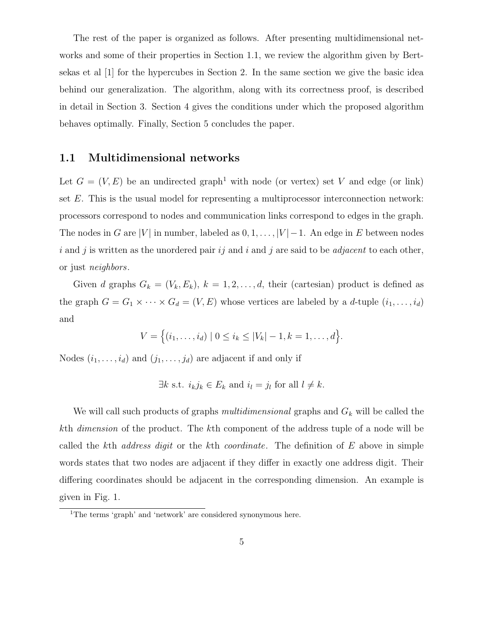The rest of the paper is organized as follows. After presenting multidimensional networks and some of their properties in Section 1.1, we review the algorithm given by Bertsekas et al [1] for the hypercubes in Section 2. In the same section we give the basic idea behind our generalization. The algorithm, along with its correctness proof, is described in detail in Section 3. Section 4 gives the conditions under which the proposed algorithm behaves optimally. Finally, Section 5 concludes the paper.

#### 1.1 Multidimensional networks

Let  $G = (V, E)$  be an undirected graph<sup>1</sup> with node (or vertex) set V and edge (or link) set  $E$ . This is the usual model for representing a multiprocessor interconnection network: processors correspond to nodes and communication links correspond to edges in the graph. The nodes in G are |V| in number, labeled as  $0, 1, \ldots, |V| - 1$ . An edge in E between nodes i and j is written as the unordered pair  $ij$  and i and j are said to be *adjacent* to each other, or just neighbors.

Given d graphs  $G_k = (V_k, E_k)$ ,  $k = 1, 2, ..., d$ , their (cartesian) product is defined as the graph  $G = G_1 \times \cdots \times G_d = (V, E)$  whose vertices are labeled by a d-tuple  $(i_1, \ldots, i_d)$ and

$$
V = \{(i_1, \ldots, i_d) \mid 0 \le i_k \le |V_k| - 1, k = 1, \ldots, d\}.
$$

Nodes  $(i_1, \ldots, i_d)$  and  $(j_1, \ldots, j_d)$  are adjacent if and only if

$$
\exists k \text{ s.t. } i_k j_k \in E_k \text{ and } i_l = j_l \text{ for all } l \neq k.
$$

We will call such products of graphs multidimensional graphs and  $G_k$  will be called the kth dimension of the product. The kth component of the address tuple of a node will be called the kth *address digit* or the kth *coordinate*. The definition of  $E$  above in simple words states that two nodes are adjacent if they differ in exactly one address digit. Their differing coordinates should be adjacent in the corresponding dimension. An example is given in Fig. 1.

<sup>&</sup>lt;sup>1</sup>The terms 'graph' and 'network' are considered synonymous here.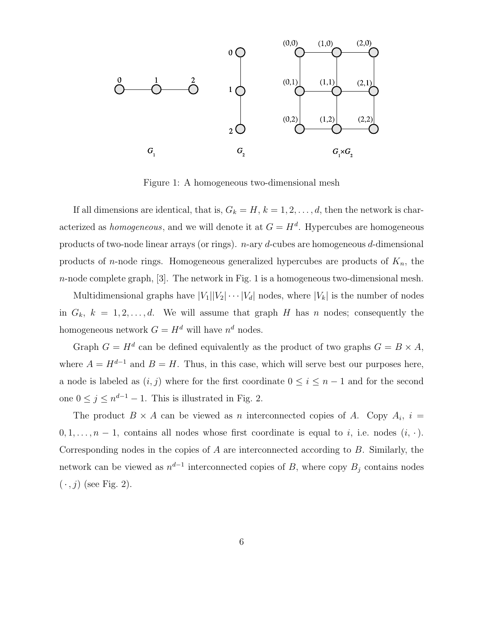

Figure 1: A homogeneous two-dimensional mesh

If all dimensions are identical, that is,  $G_k = H$ ,  $k = 1, 2, \ldots, d$ , then the network is characterized as *homogeneous*, and we will denote it at  $G = H<sup>d</sup>$ . Hypercubes are homogeneous products of two-node linear arrays (or rings).  $n$ -ary d-cubes are homogeneous d-dimensional products of *n*-node rings. Homogeneous generalized hypercubes are products of  $K_n$ , the  $n$ -node complete graph, [3]. The network in Fig. 1 is a homogeneous two-dimensional mesh.

Multidimensional graphs have  $|V_1||V_2|\cdots|V_d|$  nodes, where  $|V_k|$  is the number of nodes in  $G_k$ ,  $k = 1, 2, ..., d$ . We will assume that graph H has n nodes; consequently the homogeneous network  $G = H^d$  will have  $n^d$  nodes.

Graph  $G = H^d$  can be defined equivalently as the product of two graphs  $G = B \times A$ , where  $A = H^{d-1}$  and  $B = H$ . Thus, in this case, which will serve best our purposes here, a node is labeled as  $(i, j)$  where for the first coordinate  $0 \le i \le n - 1$  and for the second one  $0 \leq j \leq n^{d-1} - 1$ . This is illustrated in Fig. 2.

The product  $B \times A$  can be viewed as n interconnected copies of A. Copy  $A_i$ ,  $i =$  $0, 1, \ldots, n-1$ , contains all nodes whose first coordinate is equal to *i*, i.e. nodes  $(i, \cdot)$ . Corresponding nodes in the copies of  $A$  are interconnected according to  $B$ . Similarly, the network can be viewed as  $n^{d-1}$  interconnected copies of B, where copy  $B_j$  contains nodes  $(\cdot, j)$  (see Fig. 2).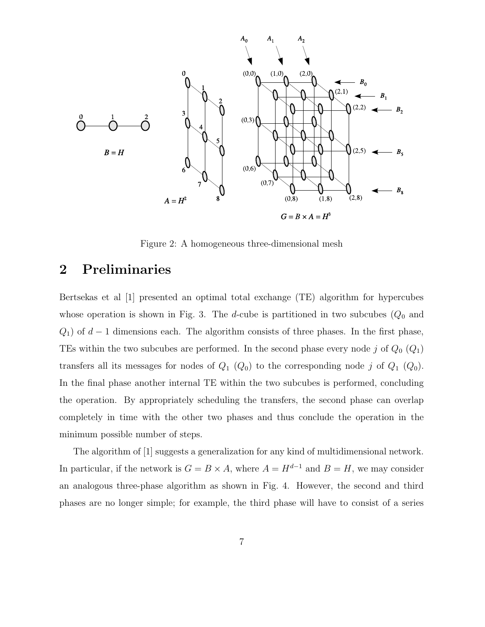

Figure 2: A homogeneous three-dimensional mesh

#### 2 Preliminaries

Bertsekas et al [1] presented an optimal total exchange (TE) algorithm for hypercubes whose operation is shown in Fig. 3. The d-cube is partitioned in two subcubes  $(Q_0$  and  $Q_1$ ) of  $d-1$  dimensions each. The algorithm consists of three phases. In the first phase, TEs within the two subcubes are performed. In the second phase every node  $j$  of  $Q_0$   $(Q_1)$ transfers all its messages for nodes of  $Q_1$   $(Q_0)$  to the corresponding node j of  $Q_1$   $(Q_0)$ . In the final phase another internal TE within the two subcubes is performed, concluding the operation. By appropriately scheduling the transfers, the second phase can overlap completely in time with the other two phases and thus conclude the operation in the minimum possible number of steps.

The algorithm of [1] suggests a generalization for any kind of multidimensional network. In particular, if the network is  $G = B \times A$ , where  $A = H^{d-1}$  and  $B = H$ , we may consider an analogous three-phase algorithm as shown in Fig. 4. However, the second and third phases are no longer simple; for example, the third phase will have to consist of a series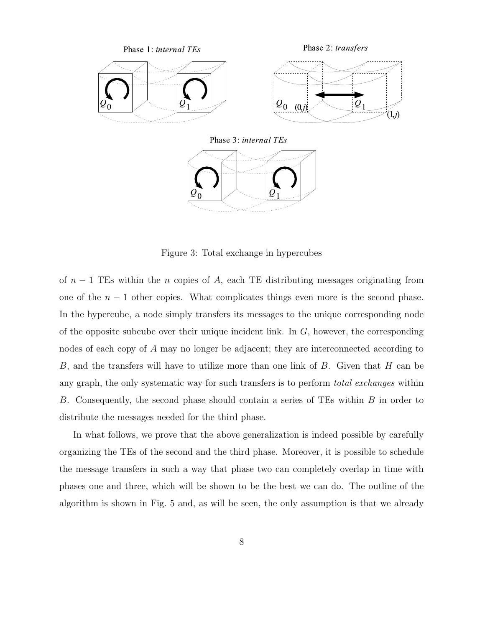

Figure 3: Total exchange in hypercubes

of  $n-1$  TEs within the n copies of A, each TE distributing messages originating from one of the  $n - 1$  other copies. What complicates things even more is the second phase. In the hypercube, a node simply transfers its messages to the unique corresponding node of the opposite subcube over their unique incident link. In  $G$ , however, the corresponding nodes of each copy of A may no longer be adjacent; they are interconnected according to B, and the transfers will have to utilize more than one link of B. Given that H can be any graph, the only systematic way for such transfers is to perform *total exchanges* within B. Consequently, the second phase should contain a series of TEs within B in order to distribute the messages needed for the third phase.

In what follows, we prove that the above generalization is indeed possible by carefully organizing the TEs of the second and the third phase. Moreover, it is possible to schedule the message transfers in such a way that phase two can completely overlap in time with phases one and three, which will be shown to be the best we can do. The outline of the algorithm is shown in Fig. 5 and, as will be seen, the only assumption is that we already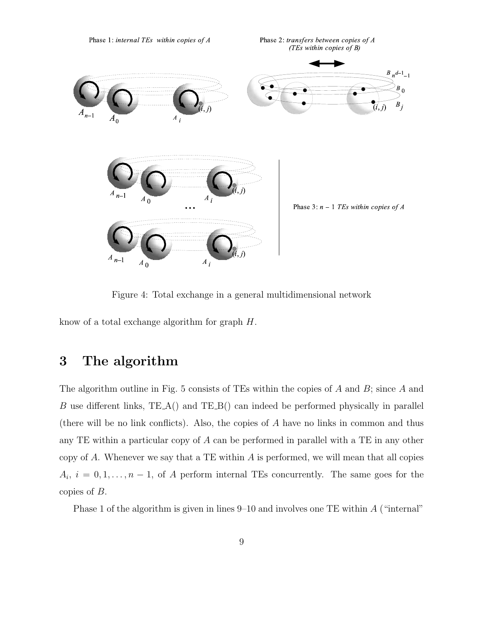

Figure 4: Total exchange in a general multidimensional network

know of a total exchange algorithm for graph H.

### 3 The algorithm

The algorithm outline in Fig. 5 consists of TEs within the copies of A and B; since A and B use different links, TE A() and TE B() can indeed be performed physically in parallel (there will be no link conflicts). Also, the copies of A have no links in common and thus any TE within a particular copy of A can be performed in parallel with a TE in any other copy of  $A$ . Whenever we say that a TE within  $A$  is performed, we will mean that all copies  $A_i, i = 0, 1, \ldots, n-1$ , of A perform internal TEs concurrently. The same goes for the copies of B.

Phase 1 of the algorithm is given in lines  $9-10$  and involves one TE within  $A$  ("internal"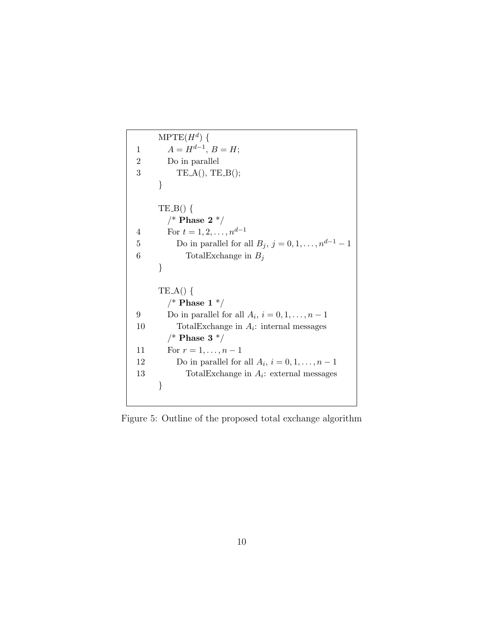```
\mathrm{MPTE}(H^{d})\;\{1 A = H^{d-1}, B = H;2 Do in parallel
3 TE A(), TE B();
     }
     TE_B() \{\text{/}^* Phase 2 \text{^{*}}\text{/}4 For t = 1, 2, ..., n^{d-1}5 Do in parallel for all B_j, j = 0, 1, ..., n^{d-1} - 16 TotalExchange in B_j}
     TE_A() \{/* Phase 1 */9 Do in parallel for all A_i, i = 0, 1, \ldots, n - 110 TotalExchange in A_i: internal messages
       /* Phase 3 */11 For r = 1, ..., n - 112 Do in parallel for all A_i, i = 0, 1, \ldots, n - 113 TotalExchange in A_i: external messages
     }
```
Figure 5: Outline of the proposed total exchange algorithm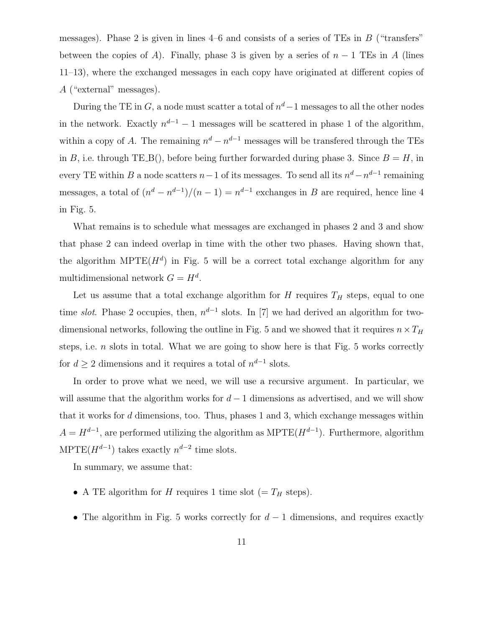messages). Phase 2 is given in lines  $4-6$  and consists of a series of TEs in B ("transfers" between the copies of A). Finally, phase 3 is given by a series of  $n-1$  TEs in A (lines 11–13), where the exchanged messages in each copy have originated at different copies of A ("external" messages).

During the TE in  $G$ , a node must scatter a total of  $n^d-1$  messages to all the other nodes in the network. Exactly  $n^{d-1} - 1$  messages will be scattered in phase 1 of the algorithm, within a copy of A. The remaining  $n^d - n^{d-1}$  messages will be transfered through the TEs in B, i.e. through TE\_B(), before being further forwarded during phase 3. Since  $B = H$ , in every TE within B a node scatters  $n-1$  of its messages. To send all its  $n^d - n^{d-1}$  remaining messages, a total of  $\left(\frac{n^d - n^{d-1}}{n-1}\right) = n^{d-1}$  exchanges in B are required, hence line 4 in Fig. 5.

What remains is to schedule what messages are exchanged in phases 2 and 3 and show that phase 2 can indeed overlap in time with the other two phases. Having shown that, the algorithm MPTE $(H^d)$  in Fig. 5 will be a correct total exchange algorithm for any multidimensional network  $G = H<sup>d</sup>$ .

Let us assume that a total exchange algorithm for  $H$  requires  $T_H$  steps, equal to one time slot. Phase 2 occupies, then,  $n^{d-1}$  slots. In [7] we had derived an algorithm for twodimensional networks, following the outline in Fig. 5 and we showed that it requires  $n \times T_H$ steps, i.e.  $n$  slots in total. What we are going to show here is that Fig. 5 works correctly for  $d \geq 2$  dimensions and it requires a total of  $n^{d-1}$  slots.

In order to prove what we need, we will use a recursive argument. In particular, we will assume that the algorithm works for  $d-1$  dimensions as advertised, and we will show that it works for  $d$  dimensions, too. Thus, phases 1 and 3, which exchange messages within  $A = H^{d-1}$ , are performed utilizing the algorithm as MPTE( $H^{d-1}$ ). Furthermore, algorithm MPTE( $H^{d-1}$ ) takes exactly  $n^{d-2}$  time slots.

In summary, we assume that:

- A TE algorithm for H requires 1 time slot (=  $T_H$  steps).
- The algorithm in Fig. 5 works correctly for  $d-1$  dimensions, and requires exactly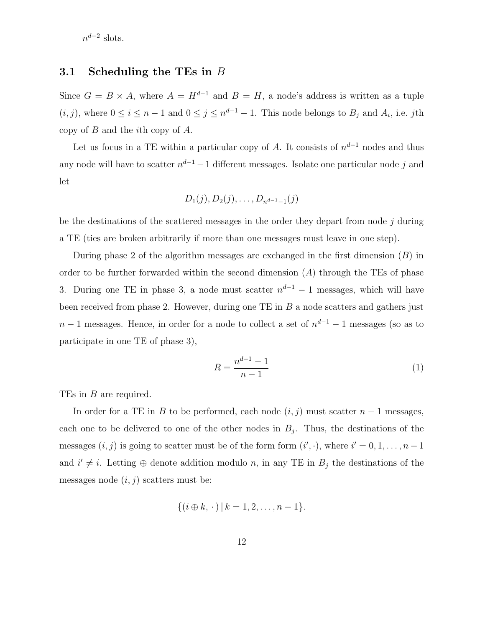$n^{d-2}$  slots.

#### 3.1 Scheduling the TEs in B

Since  $G = B \times A$ , where  $A = H^{d-1}$  and  $B = H$ , a node's address is written as a tuple  $(i, j)$ , where  $0 \le i \le n - 1$  and  $0 \le j \le n^{d-1} - 1$ . This node belongs to  $B_j$  and  $A_i$ , i.e. jth copy of B and the ith copy of A.

Let us focus in a TE within a particular copy of A. It consists of  $n^{d-1}$  nodes and thus any node will have to scatter  $n^{d-1} - 1$  different messages. Isolate one particular node j and let

$$
D_1(j), D_2(j), \ldots, D_{n^{d-1}-1}(j)
$$

be the destinations of the scattered messages in the order they depart from node  $j$  during a TE (ties are broken arbitrarily if more than one messages must leave in one step).

During phase 2 of the algorithm messages are exchanged in the first dimension  $(B)$  in order to be further forwarded within the second dimension  $(A)$  through the TEs of phase 3. During one TE in phase 3, a node must scatter  $n^{d-1} - 1$  messages, which will have been received from phase 2. However, during one TE in  $B$  a node scatters and gathers just  $n-1$  messages. Hence, in order for a node to collect a set of  $n^{d-1} - 1$  messages (so as to participate in one TE of phase 3),

$$
R = \frac{n^{d-1} - 1}{n - 1} \tag{1}
$$

TEs in B are required.

In order for a TE in B to be performed, each node  $(i, j)$  must scatter  $n - 1$  messages, each one to be delivered to one of the other nodes in  $B_j$ . Thus, the destinations of the messages  $(i, j)$  is going to scatter must be of the form form  $(i', \cdot)$ , where  $i' = 0, 1, \ldots, n - 1$ and  $i' \neq i$ . Letting  $\oplus$  denote addition modulo n, in any TE in  $B_j$  the destinations of the messages node  $(i, j)$  scatters must be:

$$
\{(i \oplus k, \cdot) \mid k = 1, 2, \ldots, n - 1\}.
$$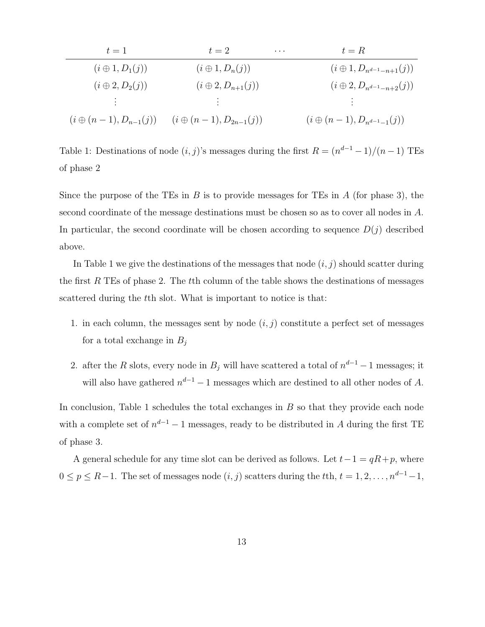| $t=1$                          | $t=2$                                               | $t = R$<br>$\cdots$                  |
|--------------------------------|-----------------------------------------------------|--------------------------------------|
| $(i \oplus 1, D_1(j))$         | $(i \oplus 1, D_n(j))$                              | $(i \oplus 1, D_{n^{d-1}-n+1}(j))$   |
| $(i \oplus 2, D_2(j))$         | $(i \oplus 2, D_{n+1}(j))$                          | $(i \oplus 2, D_{n^{d-1}-n+2}(j))$   |
| <b>Barbara</b>                 | $\mathbb{R}^n \times \mathbb{R}^n \to \mathbb{R}^n$ | and the state of the state           |
| $(i \oplus (n-1), D_{n-1}(j))$ | $(i \oplus (n-1), D_{2n-1}(j))$                     | $(i \oplus (n-1), D_{n^{d-1}-1}(j))$ |

Table 1: Destinations of node  $(i, j)$ 's messages during the first  $R = (n^{d-1} - 1)/(n - 1)$  TEs of phase 2

Since the purpose of the TEs in B is to provide messages for TEs in A (for phase 3), the second coordinate of the message destinations must be chosen so as to cover all nodes in A. In particular, the second coordinate will be chosen according to sequence  $D(j)$  described above.

In Table 1 we give the destinations of the messages that node  $(i, j)$  should scatter during the first R TEs of phase 2. The tth column of the table shows the destinations of messages scattered during the tth slot. What is important to notice is that:

- 1. in each column, the messages sent by node  $(i, j)$  constitute a perfect set of messages for a total exchange in  $B_j$
- 2. after the R slots, every node in  $B_j$  will have scattered a total of  $n^{d-1} 1$  messages; it will also have gathered  $n^{d-1} - 1$  messages which are destined to all other nodes of A.

In conclusion, Table 1 schedules the total exchanges in  $B$  so that they provide each node with a complete set of  $n^{d-1} - 1$  messages, ready to be distributed in A during the first TE of phase 3.

A general schedule for any time slot can be derived as follows. Let  $t-1 = qR+p$ , where  $0 \le p \le R-1$ . The set of messages node  $(i, j)$  scatters during the tth,  $t = 1, 2, \ldots, n^{d-1}-1$ ,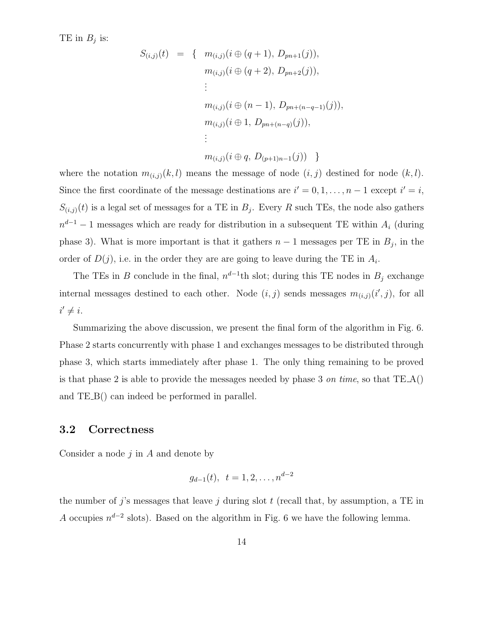TE in  $B_j$  is:

$$
S_{(i,j)}(t) = \{ m_{(i,j)}(i \oplus (q+1), D_{pn+1}(j)),
$$
  
\n
$$
m_{(i,j)}(i \oplus (q+2), D_{pn+2}(j)),
$$
  
\n
$$
\vdots
$$
  
\n
$$
m_{(i,j)}(i \oplus (n-1), D_{pn+(n-q-1)}(j)),
$$
  
\n
$$
m_{(i,j)}(i \oplus 1, D_{pn+(n-q)}(j)),
$$
  
\n
$$
\vdots
$$
  
\n
$$
m_{(i,j)}(i \oplus q, D_{(p+1)n-1}(j)) \}
$$

where the notation  $m_{(i,j)}(k, l)$  means the message of node  $(i, j)$  destined for node  $(k, l)$ . Since the first coordinate of the message destinations are  $i' = 0, 1, ..., n - 1$  except  $i' = i$ ,  $S_{(i,j)}(t)$  is a legal set of messages for a TE in  $B_j$ . Every R such TEs, the node also gathers  $n^{d-1} - 1$  messages which are ready for distribution in a subsequent TE within  $A_i$  (during phase 3). What is more important is that it gathers  $n-1$  messages per TE in  $B_j$ , in the order of  $D(j)$ , i.e. in the order they are are going to leave during the TE in  $A_i$ .

The TEs in B conclude in the final,  $n^{d-1}$ th slot; during this TE nodes in  $B_j$  exchange internal messages destined to each other. Node  $(i, j)$  sends messages  $m_{(i,j)}(i', j)$ , for all  $i' \neq i$ .

Summarizing the above discussion, we present the final form of the algorithm in Fig. 6. Phase 2 starts concurrently with phase 1 and exchanges messages to be distributed through phase 3, which starts immediately after phase 1. The only thing remaining to be proved is that phase 2 is able to provide the messages needed by phase 3 on time, so that  $TE_A()$ and TE B() can indeed be performed in parallel.

#### 3.2 Correctness

Consider a node  $j$  in  $A$  and denote by

$$
g_{d-1}(t), t = 1, 2, \ldots, n^{d-2}
$$

the number of j's messages that leave j during slot  $t$  (recall that, by assumption, a TE in A occupies  $n^{d-2}$  slots). Based on the algorithm in Fig. 6 we have the following lemma.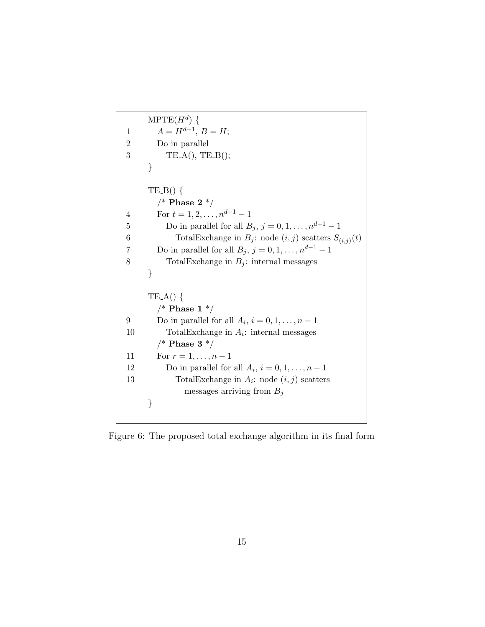```
\mathrm{MPTE}(H^{d})\;\{1 A = H^{d-1}, B = H;2 Do in parallel
3 TE A(), TE B();
     }
     TE-B() {
       /* Phase 2 */4 For t = 1, 2, ..., n^{d-1} - 15 Do in parallel for all B_j, j = 0, 1, ..., n^{d-1} - 16 TotalExchange in B_j: node (i, j) scatters S_{(i,j)}(t)7 Do in parallel for all B_j, j = 0, 1, \ldots, n^{d-1} - 18 TotalExchange in B_i: internal messages
     }
     TE.A() {
       /* Phase 1 */9 Do in parallel for all A_i, i = 0, 1, \ldots, n - 110 TotalExchange in A_i: internal messages
       /* Phase 3 */11 For r = 1, ..., n - 112 Do in parallel for all A_i, i = 0, 1, \ldots, n - 113 TotalExchange in A_i: node (i, j) scatters
              messages arriving from B_j}
```
Figure 6: The proposed total exchange algorithm in its final form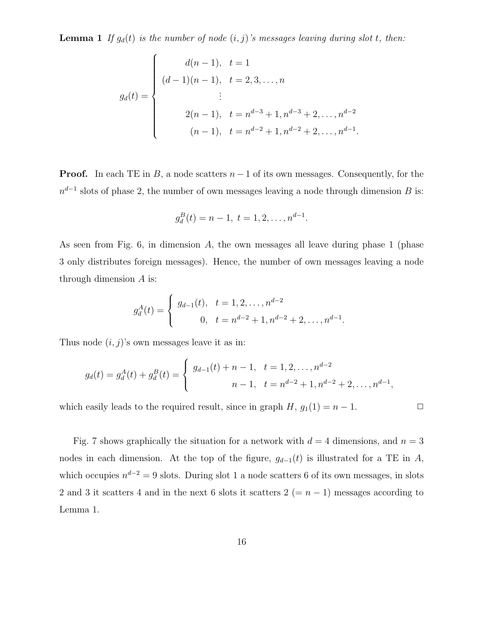**Lemma 1** If  $g_d(t)$  is the number of node  $(i, j)$ 's messages leaving during slot t, then:

$$
g_d(t) = \begin{cases} d(n-1), & t = 1 \\ (d-1)(n-1), & t = 2, 3, ..., n \\ & \vdots \\ 2(n-1), & t = n^{d-3} + 1, n^{d-3} + 2, ..., n^{d-2} \\ (n-1), & t = n^{d-2} + 1, n^{d-2} + 2, ..., n^{d-1}. \end{cases}
$$

**Proof.** In each TE in B, a node scatters  $n-1$  of its own messages. Consequently, for the  $n^{d-1}$  slots of phase 2, the number of own messages leaving a node through dimension B is:

$$
g_d^B(t) = n - 1, t = 1, 2, \dots, n^{d-1}.
$$

As seen from Fig. 6, in dimension  $A$ , the own messages all leave during phase 1 (phase 3 only distributes foreign messages). Hence, the number of own messages leaving a node through dimension  $A$  is:

$$
g_d^A(t) = \begin{cases} g_{d-1}(t), & t = 1, 2, \dots, n^{d-2} \\ 0, & t = n^{d-2} + 1, n^{d-2} + 2, \dots, n^{d-1} \end{cases}
$$

Thus node  $(i, j)$ 's own messages leave it as in:

$$
g_d(t) = g_d^A(t) + g_d^B(t) = \begin{cases} g_{d-1}(t) + n - 1, & t = 1, 2, \dots, n^{d-2} \\ n - 1, & t = n^{d-2} + 1, n^{d-2} + 2, \dots, n^{d-1}, \end{cases}
$$

which easily leads to the required result, since in graph  $H$ ,  $g_1(1) = n - 1$ .  $\Box$ 

.

Fig. 7 shows graphically the situation for a network with  $d = 4$  dimensions, and  $n = 3$ nodes in each dimension. At the top of the figure,  $g_{d-1}(t)$  is illustrated for a TE in A, which occupies  $n^{d-2} = 9$  slots. During slot 1 a node scatters 6 of its own messages, in slots 2 and 3 it scatters 4 and in the next 6 slots it scatters  $2 (= n - 1)$  messages according to Lemma 1.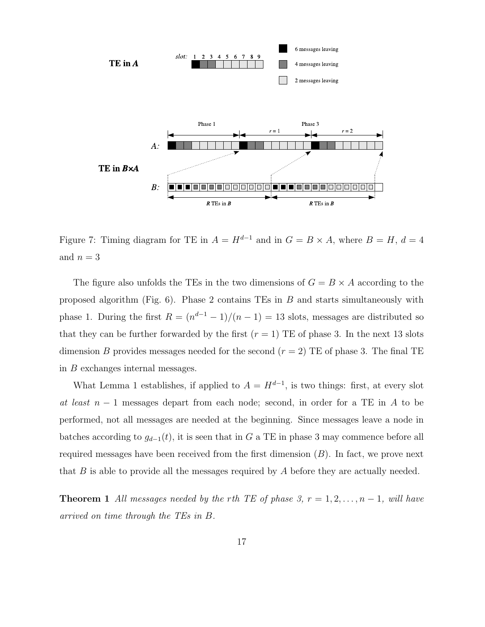

Figure 7: Timing diagram for TE in  $A = H^{d-1}$  and in  $G = B \times A$ , where  $B = H$ ,  $d = 4$ and  $n = 3$ 

The figure also unfolds the TEs in the two dimensions of  $G = B \times A$  according to the proposed algorithm (Fig. 6). Phase 2 contains TEs in B and starts simultaneously with phase 1. During the first  $R = (n^{d-1} - 1)/(n - 1) = 13$  slots, messages are distributed so that they can be further forwarded by the first  $(r = 1)$  TE of phase 3. In the next 13 slots dimension B provides messages needed for the second  $(r = 2)$  TE of phase 3. The final TE in B exchanges internal messages.

What Lemma 1 establishes, if applied to  $A = H^{d-1}$ , is two things: first, at every slot at least  $n-1$  messages depart from each node; second, in order for a TE in A to be performed, not all messages are needed at the beginning. Since messages leave a node in batches according to  $g_{d-1}(t)$ , it is seen that in G a TE in phase 3 may commence before all required messages have been received from the first dimension  $(B)$ . In fact, we prove next that  $B$  is able to provide all the messages required by  $A$  before they are actually needed.

**Theorem 1** All messages needed by the rth TE of phase 3,  $r = 1, 2, ..., n-1$ , will have arrived on time through the TEs in B.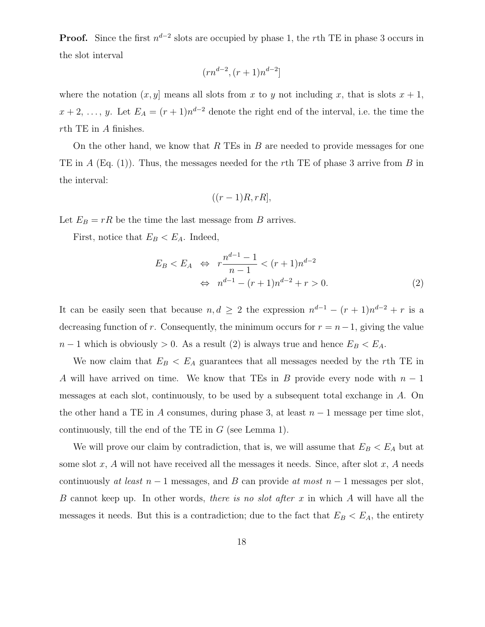**Proof.** Since the first  $n^{d-2}$  slots are occupied by phase 1, the rth TE in phase 3 occurs in the slot interval

$$
(rn^{d-2}, (r+1)n^{d-2}]
$$

where the notation  $(x, y]$  means all slots from x to y not including x, that is slots  $x + 1$ ,  $x+2, \ldots, y$ . Let  $E_A = (r+1)n^{d-2}$  denote the right end of the interval, i.e. the time the rth TE in A finishes.

On the other hand, we know that  $R$  TEs in  $B$  are needed to provide messages for one TE in A (Eq. (1)). Thus, the messages needed for the rth TE of phase 3 arrive from B in the interval:

$$
((r-1)R, rR],
$$

Let  $E_B = rR$  be the time the last message from B arrives.

First, notice that  $E_B < E_A$ . Indeed,

$$
E_B < E_A \Leftrightarrow r \frac{n^{d-1} - 1}{n - 1} < (r + 1)n^{d-2} \\
\Leftrightarrow n^{d-1} - (r + 1)n^{d-2} + r > 0. \tag{2}
$$

It can be easily seen that because  $n, d \geq 2$  the expression  $n^{d-1} - (r+1)n^{d-2} + r$  is a decreasing function of r. Consequently, the minimum occurs for  $r = n-1$ , giving the value  $n-1$  which is obviously > 0. As a result (2) is always true and hence  $E_B < E_A$ .

We now claim that  $E_B < E_A$  guarantees that all messages needed by the rth TE in A will have arrived on time. We know that TEs in B provide every node with  $n-1$ messages at each slot, continuously, to be used by a subsequent total exchange in A. On the other hand a TE in A consumes, during phase 3, at least  $n-1$  message per time slot, continuously, till the end of the TE in  $G$  (see Lemma 1).

We will prove our claim by contradiction, that is, we will assume that  $E_B < E_A$  but at some slot x, A will not have received all the messages it needs. Since, after slot x, A needs continuously at least  $n-1$  messages, and B can provide at most  $n-1$  messages per slot, B cannot keep up. In other words, *there is no slot after x* in which A will have all the messages it needs. But this is a contradiction; due to the fact that  $E_B < E_A$ , the entirety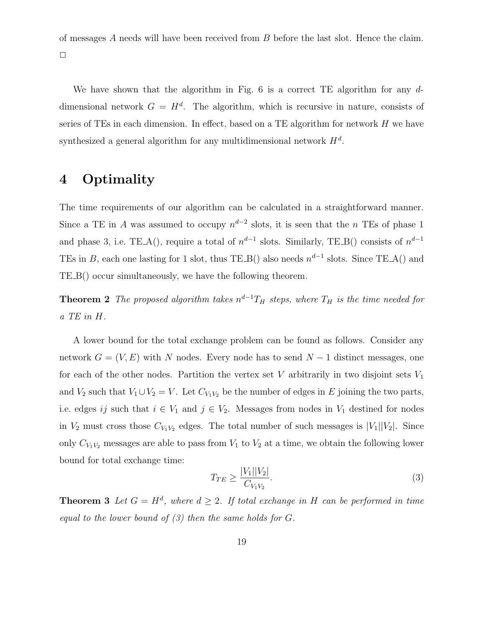of messages A needs will have been received from B before the last slot. Hence the claim.  $\Box$ 

We have shown that the algorithm in Fig.  $6$  is a correct TE algorithm for any  $d$ dimensional network  $G = H<sup>d</sup>$ . The algorithm, which is recursive in nature, consists of series of TEs in each dimension. In effect, based on a TE algorithm for network  $H$  we have synthesized a general algorithm for any multidimensional network  $H^d$ .

## 4 Optimality

The time requirements of our algorithm can be calculated in a straightforward manner. Since a TE in A was assumed to occupy  $n^{d-2}$  slots, it is seen that the n TEs of phase 1 and phase 3, i.e. TE\_A(), require a total of  $n^{d-1}$  slots. Similarly, TE\_B() consists of  $n^{d-1}$ TEs in B, each one lasting for 1 slot, thus TE\_B() also needs  $n^{d-1}$  slots. Since TE\_A() and TE B() occur simultaneously, we have the following theorem.

**Theorem 2** The proposed algorithm takes  $n^{d-1}T_H$  steps, where  $T_H$  is the time needed for a TE in H.

A lower bound for the total exchange problem can be found as follows. Consider any network  $G = (V, E)$  with N nodes. Every node has to send  $N - 1$  distinct messages, one for each of the other nodes. Partition the vertex set V arbitrarily in two disjoint sets  $V_1$ and  $V_2$  such that  $V_1 \cup V_2 = V$ . Let  $C_{V_1 V_2}$  be the number of edges in E joining the two parts, i.e. edges ij such that  $i \in V_1$  and  $j \in V_2$ . Messages from nodes in  $V_1$  destined for nodes in  $V_2$  must cross those  $C_{V_1V_2}$  edges. The total number of such messages is  $|V_1||V_2|$ . Since only  $C_{V_1V_2}$  messages are able to pass from  $V_1$  to  $V_2$  at a time, we obtain the following lower bound for total exchange time:

$$
T_{TE} \ge \frac{|V_1||V_2|}{C_{V_1 V_2}}.\tag{3}
$$

**Theorem 3** Let  $G = H^d$ , where  $d \geq 2$ . If total exchange in H can be performed in time equal to the lower bound of  $(3)$  then the same holds for  $G$ .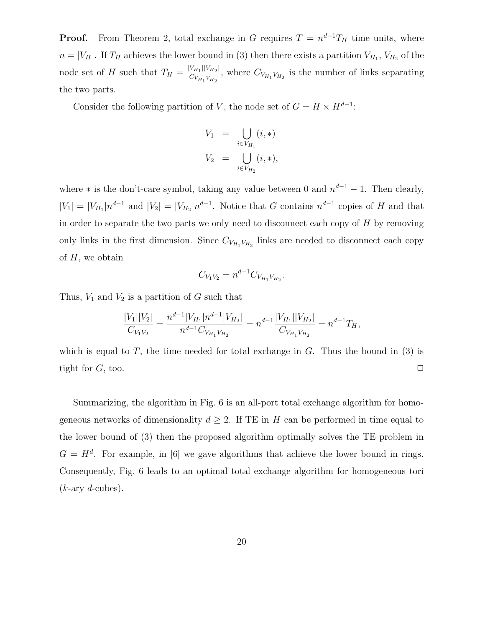**Proof.** From Theorem 2, total exchange in G requires  $T = n^{d-1}T_H$  time units, where  $n = |V_H|$ . If  $T_H$  achieves the lower bound in (3) then there exists a partition  $V_{H_1}$ ,  $V_{H_2}$  of the node set of H such that  $T_H = \frac{|V_{H_1}||V_{H_2}|}{C_V V}$  $\frac{V_{H_1} |V_{H_2}|}{C_{V_{H_1} V_{H_2}}}$ , where  $C_{V_{H_1} V_{H_2}}$  is the number of links separating the two parts.

Consider the following partition of V, the node set of  $G = H \times H^{d-1}$ :

$$
V_1 = \bigcup_{i \in V_{H_1}} (i, *)
$$
  

$$
V_2 = \bigcup_{i \in V_{H_2}} (i, *)
$$

where  $*$  is the don't-care symbol, taking any value between 0 and  $n^{d-1} - 1$ . Then clearly,  $|V_1| = |V_{H_1}| n^{d-1}$  and  $|V_2| = |V_{H_2}| n^{d-1}$ . Notice that G contains  $n^{d-1}$  copies of H and that in order to separate the two parts we only need to disconnect each copy of  $H$  by removing only links in the first dimension. Since  $C_{V_{H_1}V_{H_2}}$  links are needed to disconnect each copy of  $H$ , we obtain

$$
C_{V_1 V_2} = n^{d-1} C_{V_{H_1} V_{H_2}}.
$$

Thus,  $V_1$  and  $V_2$  is a partition of G such that

$$
\frac{|V_1||V_2|}{C_{V_1V_2}} = \frac{n^{d-1}|V_{H_1}|n^{d-1}|V_{H_2}|}{n^{d-1}C_{V_{H_1}V_{H_2}}} = n^{d-1}\frac{|V_{H_1}||V_{H_2}|}{C_{V_{H_1}V_{H_2}}} = n^{d-1}T_H,
$$

which is equal to T, the time needed for total exchange in  $G$ . Thus the bound in (3) is tight for  $G$ , too.  $\Box$ 

Summarizing, the algorithm in Fig. 6 is an all-port total exchange algorithm for homogeneous networks of dimensionality  $d \geq 2$ . If TE in H can be performed in time equal to the lower bound of (3) then the proposed algorithm optimally solves the TE problem in  $G = H<sup>d</sup>$ . For example, in [6] we gave algorithms that achieve the lower bound in rings. Consequently, Fig. 6 leads to an optimal total exchange algorithm for homogeneous tori  $(k$ -ary  $d$ -cubes).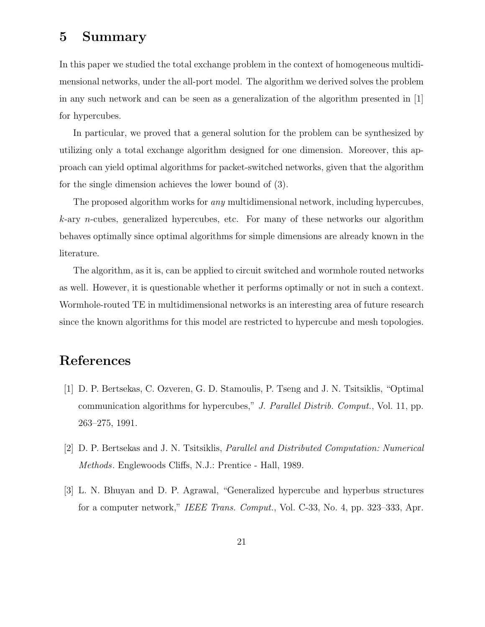### 5 Summary

In this paper we studied the total exchange problem in the context of homogeneous multidimensional networks, under the all-port model. The algorithm we derived solves the problem in any such network and can be seen as a generalization of the algorithm presented in [1] for hypercubes.

In particular, we proved that a general solution for the problem can be synthesized by utilizing only a total exchange algorithm designed for one dimension. Moreover, this approach can yield optimal algorithms for packet-switched networks, given that the algorithm for the single dimension achieves the lower bound of (3).

The proposed algorithm works for any multidimensional network, including hypercubes,  $k$ -ary *n*-cubes, generalized hypercubes, etc. For many of these networks our algorithm behaves optimally since optimal algorithms for simple dimensions are already known in the literature.

The algorithm, as it is, can be applied to circuit switched and wormhole routed networks as well. However, it is questionable whether it performs optimally or not in such a context. Wormhole-routed TE in multidimensional networks is an interesting area of future research since the known algorithms for this model are restricted to hypercube and mesh topologies.

### References

- [1] D. P. Bertsekas, C. Ozveren, G. D. Stamoulis, P. Tseng and J. N. Tsitsiklis, "Optimal communication algorithms for hypercubes," J. Parallel Distrib. Comput., Vol. 11, pp. 263–275, 1991.
- [2] D. P. Bertsekas and J. N. Tsitsiklis, Parallel and Distributed Computation: Numerical Methods. Englewoods Cliffs, N.J.: Prentice - Hall, 1989.
- [3] L. N. Bhuyan and D. P. Agrawal, "Generalized hypercube and hyperbus structures for a computer network," IEEE Trans. Comput., Vol. C-33, No. 4, pp. 323–333, Apr.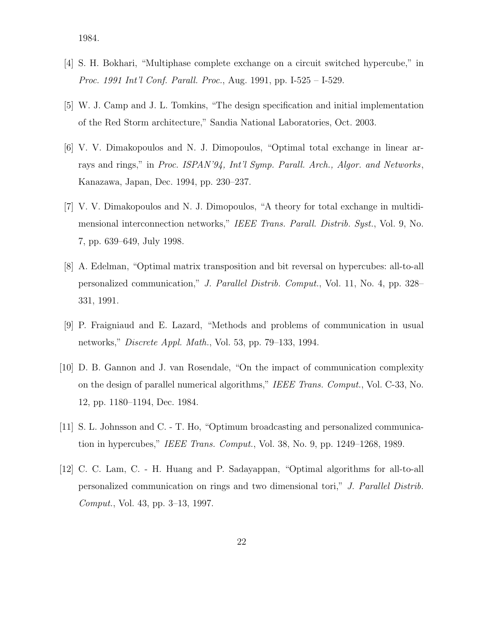1984.

- [4] S. H. Bokhari, "Multiphase complete exchange on a circuit switched hypercube," in Proc. 1991 Int'l Conf. Parall. Proc., Aug. 1991, pp. I-525 – I-529.
- [5] W. J. Camp and J. L. Tomkins, "The design specification and initial implementation of the Red Storm architecture," Sandia National Laboratories, Oct. 2003.
- [6] V. V. Dimakopoulos and N. J. Dimopoulos, "Optimal total exchange in linear arrays and rings," in Proc. ISPAN'94, Int'l Symp. Parall. Arch., Algor. and Networks, Kanazawa, Japan, Dec. 1994, pp. 230–237.
- [7] V. V. Dimakopoulos and N. J. Dimopoulos, "A theory for total exchange in multidimensional interconnection networks," IEEE Trans. Parall. Distrib. Syst., Vol. 9, No. 7, pp. 639–649, July 1998.
- [8] A. Edelman, "Optimal matrix transposition and bit reversal on hypercubes: all-to-all personalized communication," J. Parallel Distrib. Comput., Vol. 11, No. 4, pp. 328– 331, 1991.
- [9] P. Fraigniaud and E. Lazard, "Methods and problems of communication in usual networks," Discrete Appl. Math., Vol. 53, pp. 79–133, 1994.
- [10] D. B. Gannon and J. van Rosendale, "On the impact of communication complexity on the design of parallel numerical algorithms," IEEE Trans. Comput., Vol. C-33, No. 12, pp. 1180–1194, Dec. 1984.
- [11] S. L. Johnsson and C. T. Ho, "Optimum broadcasting and personalized communication in hypercubes," IEEE Trans. Comput., Vol. 38, No. 9, pp. 1249–1268, 1989.
- [12] C. C. Lam, C. H. Huang and P. Sadayappan, "Optimal algorithms for all-to-all personalized communication on rings and two dimensional tori," J. Parallel Distrib. Comput., Vol. 43, pp. 3–13, 1997.